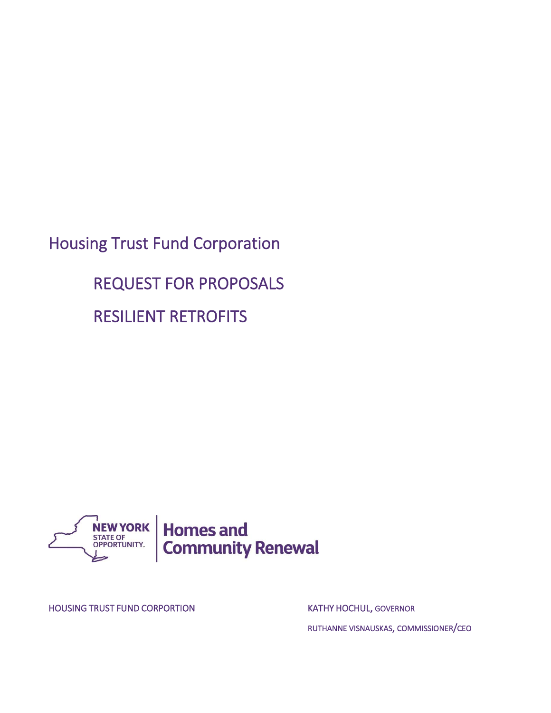Housing Trust Fund Corporation

 REQUEST FOR PROPOSALS RESILIENT RETROFITS



HOUSING TRUST FUND CORPORTION **EXAMPLE 20 YOU AT A REAL PROPERTION** KATHY HOCHUL, GOVERNOR

RUTHANNE VISNAUSKAS, COMMISSIONER/CEO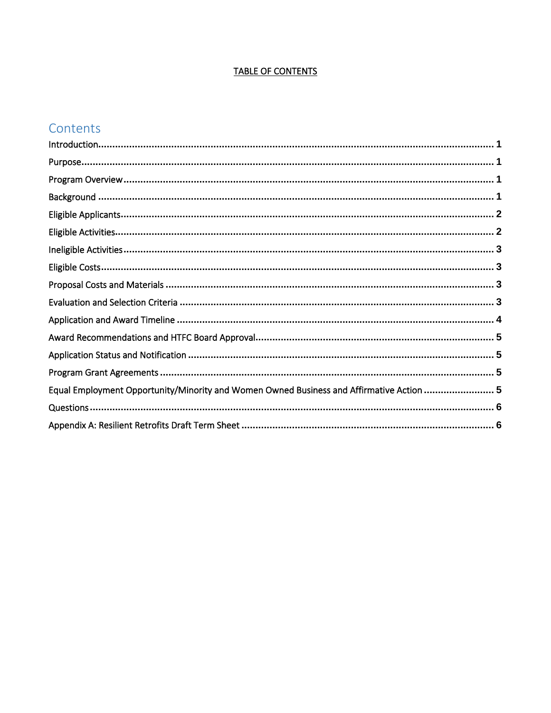# **TABLE OF CONTENTS**

# Contents

| Equal Employment Opportunity/Minority and Women Owned Business and Affirmative Action  5 |  |
|------------------------------------------------------------------------------------------|--|
|                                                                                          |  |
|                                                                                          |  |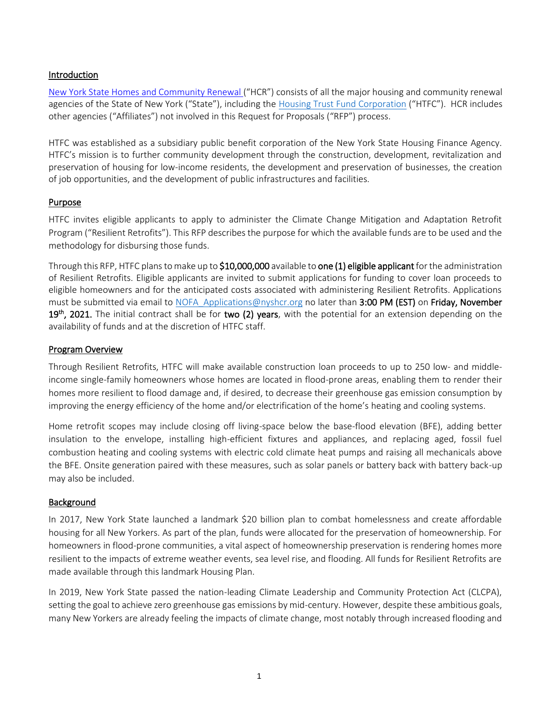## <span id="page-2-0"></span>Introduction

[New York State Homes and Community Renewal](http://www.nyshcr.org/) ("HCR") consists of all the major housing and community renewal agencies of the State of New York ("State"), including the [Housing Trust Fund Corporation](https://hcr.ny.gov/housing-trust-fund-corporation) ("HTFC"). HCR includes other agencies ("Affiliates") not involved in this Request for Proposals ("RFP") process.

HTFC was established as a subsidiary public benefit corporation of the New York State Housing Finance Agency. HTFC's mission is to further community development through the construction, development, revitalization and preservation of housing for low-income residents, the development and preservation of businesses, the creation of job opportunities, and the development of public infrastructures and facilities.

#### <span id="page-2-1"></span>Purpose

HTFC invites eligible applicants to apply to administer the Climate Change Mitigation and Adaptation Retrofit Program ("Resilient Retrofits"). This RFP describes the purpose for which the available funds are to be used and the methodology for disbursing those funds.

Through this RFP, HTFC plans to make up to \$10,000,000 available to one (1) eligible applicant for the administration of Resilient Retrofits. Eligible applicants are invited to submit applications for funding to cover loan proceeds to eligible homeowners and for the anticipated costs associated with administering Resilient Retrofits. Applications must be submitted via email to [NOFA\\_Applications@nyshcr.org](mailto:rachel.wieder@nyshcr.org) no later than 3:00 PM (EST) on Friday, November 19<sup>th</sup>, 2021. The initial contract shall be for two (2) years, with the potential for an extension depending on the availability of funds and at the discretion of HTFC staff.

#### <span id="page-2-2"></span>Program Overview

Through Resilient Retrofits, HTFC will make available construction loan proceeds to up to 250 low- and middleincome single-family homeowners whose homes are located in flood-prone areas, enabling them to render their homes more resilient to flood damage and, if desired, to decrease their greenhouse gas emission consumption by improving the energy efficiency of the home and/or electrification of the home's heating and cooling systems.

Home retrofit scopes may include closing off living-space below the base-flood elevation (BFE), adding better insulation to the envelope, installing high-efficient fixtures and appliances, and replacing aged, fossil fuel combustion heating and cooling systems with electric cold climate heat pumps and raising all mechanicals above the BFE. Onsite generation paired with these measures, such as solar panels or battery back with battery back-up may also be included.

#### <span id="page-2-3"></span>Background

In 2017, New York State launched a landmark \$20 billion plan to combat homelessness and create affordable housing for all New Yorkers. As part of the plan, funds were allocated for the preservation of homeownership. For homeowners in flood-prone communities, a vital aspect of homeownership preservation is rendering homes more resilient to the impacts of extreme weather events, sea level rise, and flooding. All funds for Resilient Retrofits are made available through this landmark Housing Plan.

In 2019, New York State passed the nation-leading Climate Leadership and Community Protection Act (CLCPA), setting the goal to achieve zero greenhouse gas emissions by mid-century. However, despite these ambitious goals, many New Yorkers are already feeling the impacts of climate change, most notably through increased flooding and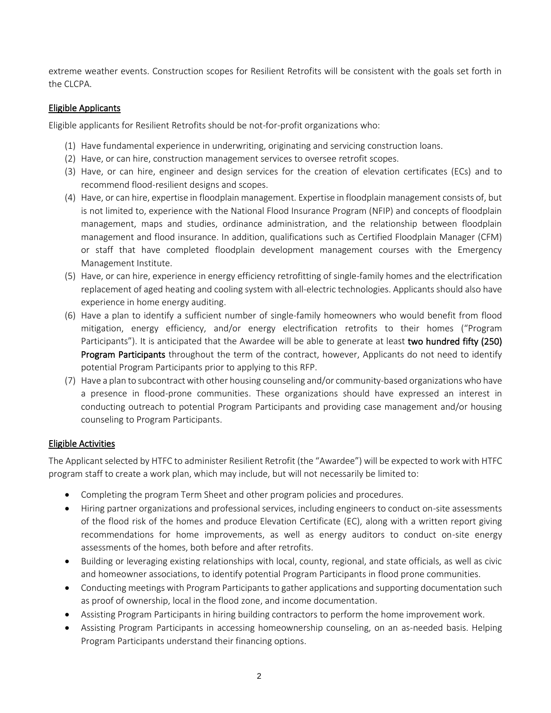extreme weather events. Construction scopes for Resilient Retrofits will be consistent with the goals set forth in the CLCPA.

#### <span id="page-3-0"></span>Eligible Applicants

Eligible applicants for Resilient Retrofits should be not-for-profit organizations who:

- (1) Have fundamental experience in underwriting, originating and servicing construction loans.
- (2) Have, or can hire, construction management services to oversee retrofit scopes.
- (3) Have, or can hire, engineer and design services for the creation of elevation certificates (ECs) and to recommend flood-resilient designs and scopes.
- (4) Have, or can hire, expertise in floodplain management. Expertise in floodplain management consists of, but is not limited to, experience with the National Flood Insurance Program (NFIP) and concepts of floodplain management, maps and studies, ordinance administration, and the relationship between floodplain management and flood insurance. In addition, qualifications such as Certified Floodplain Manager (CFM) or staff that have completed floodplain development management courses with the Emergency Management Institute.
- (5) Have, or can hire, experience in energy efficiency retrofitting of single-family homes and the electrification replacement of aged heating and cooling system with all-electric technologies. Applicants should also have experience in home energy auditing.
- (6) Have a plan to identify a sufficient number of single-family homeowners who would benefit from flood mitigation, energy efficiency, and/or energy electrification retrofits to their homes ("Program Participants"). It is anticipated that the Awardee will be able to generate at least two hundred fifty (250) **Program Participants** throughout the term of the contract, however, Applicants do not need to identify potential Program Participants prior to applying to this RFP.
- (7) Have a plan to subcontract with other housing counseling and/or community-based organizations who have a presence in flood-prone communities. These organizations should have expressed an interest in conducting outreach to potential Program Participants and providing case management and/or housing counseling to Program Participants.

## <span id="page-3-1"></span>Eligible Activities

The Applicant selected by HTFC to administer Resilient Retrofit (the "Awardee") will be expected to work with HTFC program staff to create a work plan, which may include, but will not necessarily be limited to:

- Completing the program Term Sheet and other program policies and procedures.
- Hiring partner organizations and professional services, including engineers to conduct on-site assessments of the flood risk of the homes and produce Elevation Certificate (EC), along with a written report giving recommendations for home improvements, as well as energy auditors to conduct on-site energy assessments of the homes, both before and after retrofits.
- Building or leveraging existing relationships with local, county, regional, and state officials, as well as civic and homeowner associations, to identify potential Program Participants in flood prone communities.
- Conducting meetings with Program Participants to gather applications and supporting documentation such as proof of ownership, local in the flood zone, and income documentation.
- Assisting Program Participants in hiring building contractors to perform the home improvement work.
- Assisting Program Participants in accessing homeownership counseling, on an as-needed basis. Helping Program Participants understand their financing options.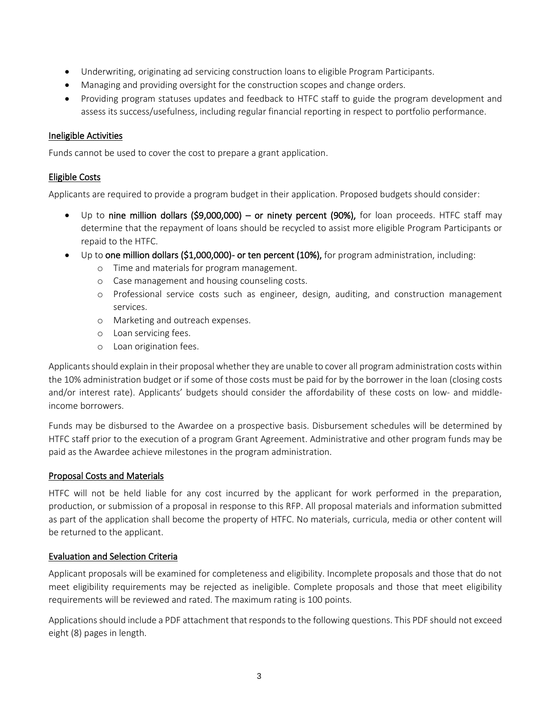- Underwriting, originating ad servicing construction loans to eligible Program Participants.
- Managing and providing oversight for the construction scopes and change orders.
- Providing program statuses updates and feedback to HTFC staff to guide the program development and assess its success/usefulness, including regular financial reporting in respect to portfolio performance.

## <span id="page-4-0"></span>Ineligible Activities

Funds cannot be used to cover the cost to prepare a grant application.

## <span id="page-4-1"></span>Eligible Costs

Applicants are required to provide a program budget in their application. Proposed budgets should consider:

- Up to nine million dollars (\$9,000,000) or ninety percent (90%), for loan proceeds. HTFC staff may determine that the repayment of loans should be recycled to assist more eligible Program Participants or repaid to the HTFC.
- Up to one million dollars (\$1,000,000)- or ten percent (10%), for program administration, including:
	- o Time and materials for program management.
	- o Case management and housing counseling costs.
	- o Professional service costs such as engineer, design, auditing, and construction management services.
	- o Marketing and outreach expenses.
	- o Loan servicing fees.
	- o Loan origination fees.

Applicants should explain in their proposal whether they are unable to cover all program administration costs within the 10% administration budget or if some of those costs must be paid for by the borrower in the loan (closing costs and/or interest rate). Applicants' budgets should consider the affordability of these costs on low- and middleincome borrowers.

Funds may be disbursed to the Awardee on a prospective basis. Disbursement schedules will be determined by HTFC staff prior to the execution of a program Grant Agreement. Administrative and other program funds may be paid as the Awardee achieve milestones in the program administration.

## <span id="page-4-2"></span>Proposal Costs and Materials

HTFC will not be held liable for any cost incurred by the applicant for work performed in the preparation, production, or submission of a proposal in response to this RFP. All proposal materials and information submitted as part of the application shall become the property of HTFC. No materials, curricula, media or other content will be returned to the applicant.

## <span id="page-4-3"></span>Evaluation and Selection Criteria

Applicant proposals will be examined for completeness and eligibility. Incomplete proposals and those that do not meet eligibility requirements may be rejected as ineligible. Complete proposals and those that meet eligibility requirements will be reviewed and rated. The maximum rating is 100 points.

Applications should include a PDF attachment that responds to the following questions. This PDF should not exceed eight (8) pages in length.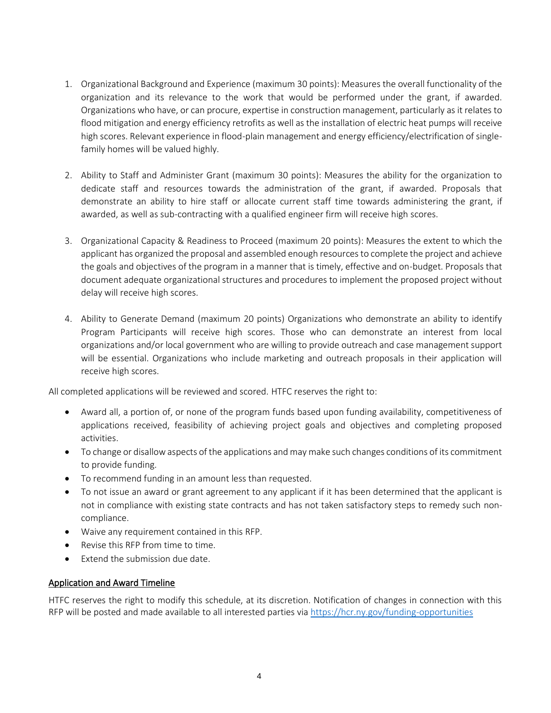- 1. Organizational Background and Experience (maximum 30 points): Measures the overall functionality of the organization and its relevance to the work that would be performed under the grant, if awarded. Organizations who have, or can procure, expertise in construction management, particularly as it relates to flood mitigation and energy efficiency retrofits as well as the installation of electric heat pumps will receive high scores. Relevant experience in flood-plain management and energy efficiency/electrification of singlefamily homes will be valued highly.
- 2. Ability to Staff and Administer Grant (maximum 30 points): Measures the ability for the organization to dedicate staff and resources towards the administration of the grant, if awarded. Proposals that demonstrate an ability to hire staff or allocate current staff time towards administering the grant, if awarded, as well as sub-contracting with a qualified engineer firm will receive high scores.
- 3. Organizational Capacity & Readiness to Proceed (maximum 20 points): Measures the extent to which the applicant has organized the proposal and assembled enough resources to complete the project and achieve the goals and objectives of the program in a manner that is timely, effective and on-budget. Proposals that document adequate organizational structures and procedures to implement the proposed project without delay will receive high scores.
- 4. Ability to Generate Demand (maximum 20 points) Organizations who demonstrate an ability to identify Program Participants will receive high scores. Those who can demonstrate an interest from local organizations and/or local government who are willing to provide outreach and case management support will be essential. Organizations who include marketing and outreach proposals in their application will receive high scores.

All completed applications will be reviewed and scored. HTFC reserves the right to:

- Award all, a portion of, or none of the program funds based upon funding availability, competitiveness of applications received, feasibility of achieving project goals and objectives and completing proposed activities.
- To change or disallow aspects of the applications and may make such changes conditions of its commitment to provide funding.
- To recommend funding in an amount less than requested.
- To not issue an award or grant agreement to any applicant if it has been determined that the applicant is not in compliance with existing state contracts and has not taken satisfactory steps to remedy such noncompliance.
- Waive any requirement contained in this RFP.
- Revise this RFP from time to time.
- Extend the submission due date.

#### <span id="page-5-0"></span>Application and Award Timeline

HTFC reserves the right to modify this schedule, at its discretion. Notification of changes in connection with this RFP will be posted and made available to all interested parties via<https://hcr.ny.gov/funding-opportunities>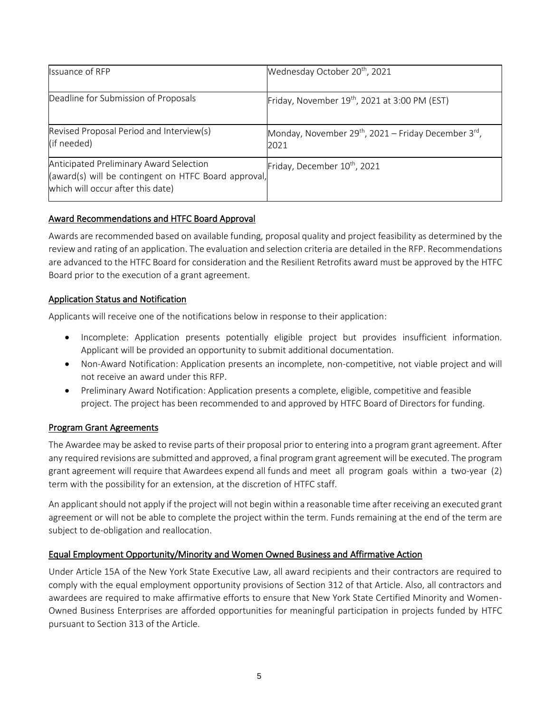| Issuance of RFP                                                                                                                      | Wednesday October 20 <sup>th</sup> , 2021                                            |
|--------------------------------------------------------------------------------------------------------------------------------------|--------------------------------------------------------------------------------------|
| Deadline for Submission of Proposals                                                                                                 | Friday, November 19th, 2021 at 3:00 PM (EST)                                         |
| Revised Proposal Period and Interview(s)<br>(if needed)                                                                              | Monday, November 29 <sup>th</sup> , 2021 – Friday December 3 <sup>rd</sup> ,<br>2021 |
| Anticipated Preliminary Award Selection<br>(award(s) will be contingent on HTFC Board approval,<br>which will occur after this date) | Friday, December 10 <sup>th</sup> , 2021                                             |

## <span id="page-6-0"></span>Award Recommendations and HTFC Board Approval

Awards are recommended based on available funding, proposal quality and project feasibility as determined by the review and rating of an application. The evaluation and selection criteria are detailed in the RFP. Recommendations are advanced to the HTFC Board for consideration and the Resilient Retrofits award must be approved by the HTFC Board prior to the execution of a grant agreement.

# <span id="page-6-1"></span>Application Status and Notification

Applicants will receive one of the notifications below in response to their application:

- Incomplete: Application presents potentially eligible project but provides insufficient information. Applicant will be provided an opportunity to submit additional documentation.
- Non-Award Notification: Application presents an incomplete, non-competitive, not viable project and will not receive an award under this RFP.
- Preliminary Award Notification: Application presents a complete, eligible, competitive and feasible project. The project has been recommended to and approved by HTFC Board of Directors for funding.

## <span id="page-6-2"></span>Program Grant Agreements

The Awardee may be asked to revise parts of their proposal prior to entering into a program grant agreement. After any required revisions are submitted and approved, a final program grant agreement will be executed. The program grant agreement will require that Awardees expend all funds and meet all program goals within a two-year (2) term with the possibility for an extension, at the discretion of HTFC staff.

An applicant should not apply if the project will not begin within a reasonable time after receiving an executed grant agreement or will not be able to complete the project within the term. Funds remaining at the end of the term are subject to de-obligation and reallocation.

## <span id="page-6-3"></span>Equal Employment Opportunity/Minority and Women Owned Business and Affirmative Action

Under Article 15A of the New York State Executive Law, all award recipients and their contractors are required to comply with the equal employment opportunity provisions of Section 312 of that Article. Also, all contractors and awardees are required to make affirmative efforts to ensure that New York State Certified Minority and Women-Owned Business Enterprises are afforded opportunities for meaningful participation in projects funded by HTFC pursuant to Section 313 of the Article.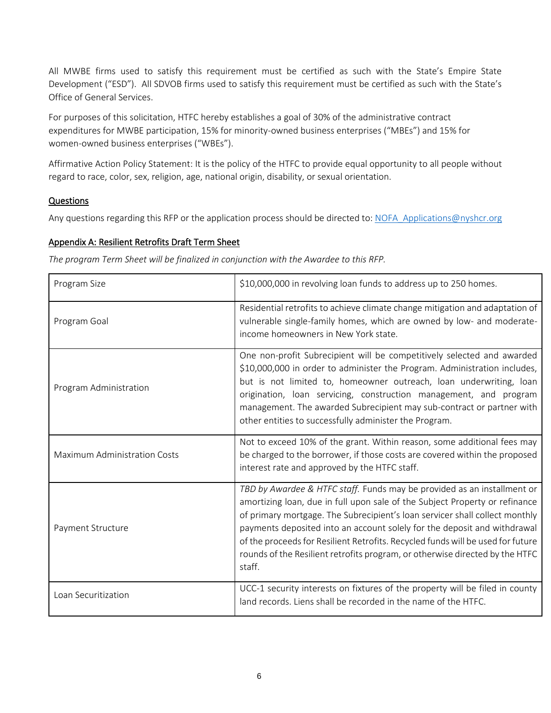All MWBE firms used to satisfy this requirement must be certified as such with the State's Empire State Development ("ESD"). All SDVOB firms used to satisfy this requirement must be certified as such with the State's Office of General Services.

For purposes of this solicitation, HTFC hereby establishes a goal of 30% of the administrative contract expenditures for MWBE participation, 15% for minority-owned business enterprises ("MBEs") and 15% for women-owned business enterprises ("WBEs").

Affirmative Action Policy Statement: It is the policy of the HTFC to provide equal opportunity to all people without regard to race, color, sex, religion, age, national origin, disability, or sexual orientation.

# <span id="page-7-0"></span>**Questions**

Any questions regarding this RFP or the application process should be directed to: [NOFA\\_Applications@nyshcr.org](mailto:NOFA_Applications@nyshcr.org)

# <span id="page-7-1"></span>Appendix A: Resilient Retrofits Draft Term Sheet

*The program Term Sheet will be finalized in conjunction with the Awardee to this RFP.*

| Program Size                 | \$10,000,000 in revolving loan funds to address up to 250 homes.                                                                                                                                                                                                                                                                                                                                                                                                                               |  |  |
|------------------------------|------------------------------------------------------------------------------------------------------------------------------------------------------------------------------------------------------------------------------------------------------------------------------------------------------------------------------------------------------------------------------------------------------------------------------------------------------------------------------------------------|--|--|
| Program Goal                 | Residential retrofits to achieve climate change mitigation and adaptation of<br>vulnerable single-family homes, which are owned by low- and moderate-<br>income homeowners in New York state.                                                                                                                                                                                                                                                                                                  |  |  |
| Program Administration       | One non-profit Subrecipient will be competitively selected and awarded<br>\$10,000,000 in order to administer the Program. Administration includes,<br>but is not limited to, homeowner outreach, loan underwriting, loan<br>origination, loan servicing, construction management, and program<br>management. The awarded Subrecipient may sub-contract or partner with<br>other entities to successfully administer the Program.                                                              |  |  |
| Maximum Administration Costs | Not to exceed 10% of the grant. Within reason, some additional fees may<br>be charged to the borrower, if those costs are covered within the proposed<br>interest rate and approved by the HTFC staff.                                                                                                                                                                                                                                                                                         |  |  |
| Payment Structure            | TBD by Awardee & HTFC staff. Funds may be provided as an installment or<br>amortizing loan, due in full upon sale of the Subject Property or refinance<br>of primary mortgage. The Subrecipient's loan servicer shall collect monthly<br>payments deposited into an account solely for the deposit and withdrawal<br>of the proceeds for Resilient Retrofits. Recycled funds will be used for future<br>rounds of the Resilient retrofits program, or otherwise directed by the HTFC<br>staff. |  |  |
| Loan Securitization          | UCC-1 security interests on fixtures of the property will be filed in county<br>land records. Liens shall be recorded in the name of the HTFC.                                                                                                                                                                                                                                                                                                                                                 |  |  |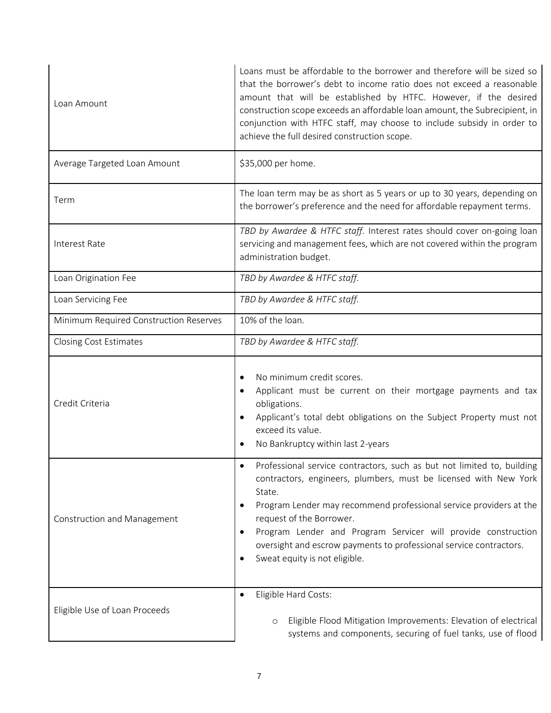| Loan Amount                            | Loans must be affordable to the borrower and therefore will be sized so<br>that the borrower's debt to income ratio does not exceed a reasonable<br>amount that will be established by HTFC. However, if the desired<br>construction scope exceeds an affordable loan amount, the Subrecipient, in<br>conjunction with HTFC staff, may choose to include subsidy in order to<br>achieve the full desired construction scope.                |  |  |
|----------------------------------------|---------------------------------------------------------------------------------------------------------------------------------------------------------------------------------------------------------------------------------------------------------------------------------------------------------------------------------------------------------------------------------------------------------------------------------------------|--|--|
| Average Targeted Loan Amount           | \$35,000 per home.                                                                                                                                                                                                                                                                                                                                                                                                                          |  |  |
| Term                                   | The loan term may be as short as 5 years or up to 30 years, depending on<br>the borrower's preference and the need for affordable repayment terms.                                                                                                                                                                                                                                                                                          |  |  |
| Interest Rate                          | TBD by Awardee & HTFC staff. Interest rates should cover on-going loan<br>servicing and management fees, which are not covered within the program<br>administration budget.                                                                                                                                                                                                                                                                 |  |  |
| Loan Origination Fee                   | TBD by Awardee & HTFC staff.                                                                                                                                                                                                                                                                                                                                                                                                                |  |  |
| Loan Servicing Fee                     | TBD by Awardee & HTFC staff.                                                                                                                                                                                                                                                                                                                                                                                                                |  |  |
| Minimum Required Construction Reserves | 10% of the loan.                                                                                                                                                                                                                                                                                                                                                                                                                            |  |  |
| <b>Closing Cost Estimates</b>          | TBD by Awardee & HTFC staff.                                                                                                                                                                                                                                                                                                                                                                                                                |  |  |
| Credit Criteria                        | No minimum credit scores.<br>Applicant must be current on their mortgage payments and tax<br>obligations.<br>Applicant's total debt obligations on the Subject Property must not<br>exceed its value.<br>No Bankruptcy within last 2-years                                                                                                                                                                                                  |  |  |
| Construction and Management            | Professional service contractors, such as but not limited to, building<br>contractors, engineers, plumbers, must be licensed with New York<br>State.<br>Program Lender may recommend professional service providers at the<br>$\bullet$<br>request of the Borrower.<br>Program Lender and Program Servicer will provide construction<br>oversight and escrow payments to professional service contractors.<br>Sweat equity is not eligible. |  |  |
| Eligible Use of Loan Proceeds          | Eligible Hard Costs:<br>$\bullet$<br>Eligible Flood Mitigation Improvements: Elevation of electrical<br>$\circ$<br>systems and components, securing of fuel tanks, use of flood                                                                                                                                                                                                                                                             |  |  |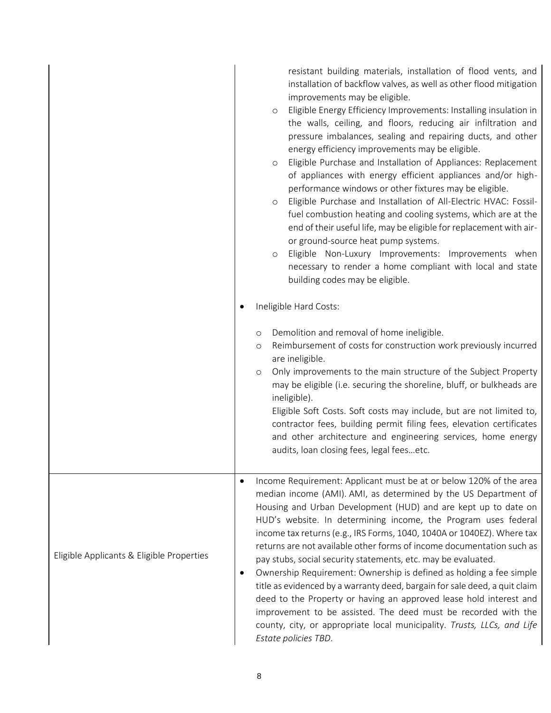|                                           |                        | resistant building materials, installation of flood vents, and<br>installation of backflow valves, as well as other flood mitigation<br>improvements may be eligible.<br>Eligible Energy Efficiency Improvements: Installing insulation in<br>$\circ$<br>the walls, ceiling, and floors, reducing air infiltration and<br>pressure imbalances, sealing and repairing ducts, and other<br>energy efficiency improvements may be eligible.<br>Eligible Purchase and Installation of Appliances: Replacement<br>$\circ$<br>of appliances with energy efficient appliances and/or high-<br>performance windows or other fixtures may be eligible.<br>Eligible Purchase and Installation of All-Electric HVAC: Fossil-<br>$\circ$<br>fuel combustion heating and cooling systems, which are at the<br>end of their useful life, may be eligible for replacement with air-<br>or ground-source heat pump systems.<br>Eligible Non-Luxury Improvements: Improvements when<br>$\circ$<br>necessary to render a home compliant with local and state<br>building codes may be eligible.<br>Ineligible Hard Costs:<br>Demolition and removal of home ineligible.<br>$\circ$<br>Reimbursement of costs for construction work previously incurred<br>$\circ$<br>are ineligible.<br>Only improvements to the main structure of the Subject Property<br>$\circ$<br>may be eligible (i.e. securing the shoreline, bluff, or bulkheads are<br>ineligible).<br>Eligible Soft Costs. Soft costs may include, but are not limited to,<br>contractor fees, building permit filing fees, elevation certificates<br>and other architecture and engineering services, home energy<br>audits, loan closing fees, legal feesetc. |
|-------------------------------------------|------------------------|--------------------------------------------------------------------------------------------------------------------------------------------------------------------------------------------------------------------------------------------------------------------------------------------------------------------------------------------------------------------------------------------------------------------------------------------------------------------------------------------------------------------------------------------------------------------------------------------------------------------------------------------------------------------------------------------------------------------------------------------------------------------------------------------------------------------------------------------------------------------------------------------------------------------------------------------------------------------------------------------------------------------------------------------------------------------------------------------------------------------------------------------------------------------------------------------------------------------------------------------------------------------------------------------------------------------------------------------------------------------------------------------------------------------------------------------------------------------------------------------------------------------------------------------------------------------------------------------------------------------------------------------------------------------------------------------------------|
| Eligible Applicants & Eligible Properties | $\bullet$<br>$\bullet$ | Income Requirement: Applicant must be at or below 120% of the area<br>median income (AMI). AMI, as determined by the US Department of<br>Housing and Urban Development (HUD) and are kept up to date on<br>HUD's website. In determining income, the Program uses federal<br>income tax returns (e.g., IRS Forms, 1040, 1040A or 1040EZ). Where tax<br>returns are not available other forms of income documentation such as<br>pay stubs, social security statements, etc. may be evaluated.<br>Ownership Requirement: Ownership is defined as holding a fee simple<br>title as evidenced by a warranty deed, bargain for sale deed, a quit claim<br>deed to the Property or having an approved lease hold interest and<br>improvement to be assisted. The deed must be recorded with the<br>county, city, or appropriate local municipality. Trusts, LLCs, and Life<br>Estate policies TBD.                                                                                                                                                                                                                                                                                                                                                                                                                                                                                                                                                                                                                                                                                                                                                                                                          |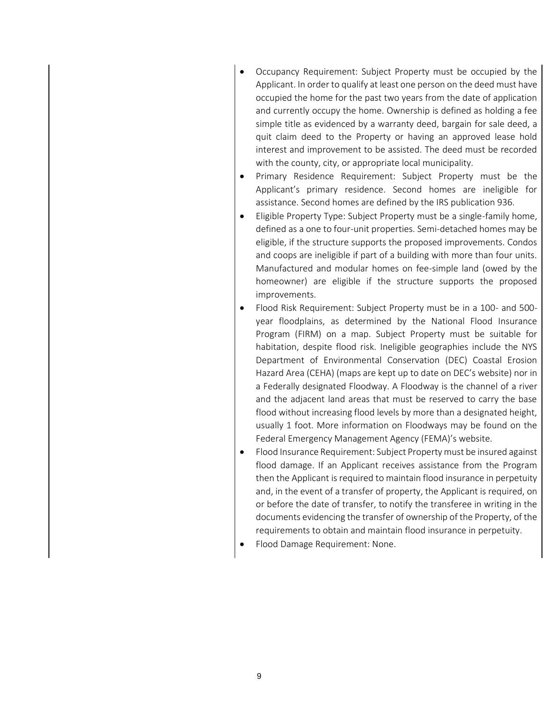- Occupancy Requirement: Subject Property must be occupied by the Applicant. In order to qualify at least one person on the deed must have occupied the home for the past two years from the date of application and currently occupy the home. Ownership is defined as holding a fee simple title as evidenced by a warranty deed, bargain for sale deed, a quit claim deed to the Property or having an approved lease hold interest and improvement to be assisted. The deed must be recorded with the county, city, or appropriate local municipality.
- Primary Residence Requirement: Subject Property must be the Applicant's primary residence. Second homes are ineligible for assistance. Second homes are defined by the IRS publication 936.
- Eligible Property Type: Subject Property must be a single-family home, defined as a one to four-unit properties. Semi-detached homes may be eligible, if the structure supports the proposed improvements. Condos and coops are ineligible if part of a building with more than four units. Manufactured and modular homes on fee-simple land (owed by the homeowner) are eligible if the structure supports the proposed improvements.
- Flood Risk Requirement: Subject Property must be in a 100- and 500 year floodplains, as determined by the National Flood Insurance Program (FIRM) on a map. Subject Property must be suitable for habitation, despite flood risk. Ineligible geographies include the NYS Department of Environmental Conservation (DEC) Coastal Erosion Hazard Area (CEHA) (maps are kept up to date on DEC's website) nor in a Federally designated Floodway. A Floodway is the channel of a river and the adjacent land areas that must be reserved to carry the base flood without increasing flood levels by more than a designated height, usually 1 foot. More information on Floodways may be found on the Federal Emergency Management Agency (FEMA)'s website.
- Flood Insurance Requirement: Subject Property must be insured against flood damage. If an Applicant receives assistance from the Program then the Applicant is required to maintain flood insurance in perpetuity and, in the event of a transfer of property, the Applicant is required, on or before the date of transfer, to notify the transferee in writing in the documents evidencing the transfer of ownership of the Property, of the requirements to obtain and maintain flood insurance in perpetuity.
- Flood Damage Requirement: None.